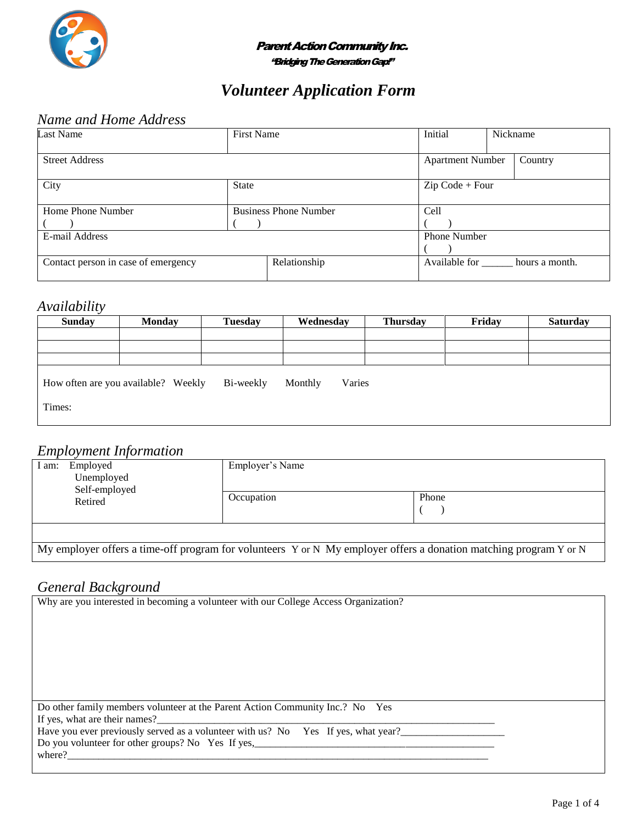

#### **Parent Action Community Inc.**

"Bridging The Generation Gap!"

# *Volunteer Application Form*

## *Name and Home Address*

| <b>Last Name</b>                    | <b>First Name</b>            |              | Initial                 | Nickname |                              |
|-------------------------------------|------------------------------|--------------|-------------------------|----------|------------------------------|
| <b>Street Address</b>               |                              |              | <b>Apartment Number</b> |          | Country                      |
| City                                | <b>State</b>                 |              | $Zip Code + Four$       |          |                              |
| Home Phone Number                   | <b>Business Phone Number</b> |              | Cell                    |          |                              |
|                                     |                              |              |                         |          |                              |
| E-mail Address                      |                              |              | <b>Phone Number</b>     |          |                              |
|                                     |                              |              |                         |          |                              |
| Contact person in case of emergency |                              | Relationship |                         |          | Available for hours a month. |

#### *Availability*

| <b>Sunday</b>                                                         | <b>Monday</b> | <b>Tuesday</b> | Wednesday | <b>Thursday</b> | Friday | <b>Saturday</b> |
|-----------------------------------------------------------------------|---------------|----------------|-----------|-----------------|--------|-----------------|
|                                                                       |               |                |           |                 |        |                 |
|                                                                       |               |                |           |                 |        |                 |
|                                                                       |               |                |           |                 |        |                 |
| How often are you available? Weekly<br>Bi-weekly<br>Monthly<br>Varies |               |                |           |                 |        |                 |
|                                                                       |               |                |           |                 |        |                 |
| Times:                                                                |               |                |           |                 |        |                 |

### *Employment Information*

|                                                                                                                   | L               |       |  |  |
|-------------------------------------------------------------------------------------------------------------------|-----------------|-------|--|--|
| Employed<br>I am:<br>Unemployed<br>Self-employed<br>Retired                                                       | Employer's Name |       |  |  |
|                                                                                                                   | Occupation      | Phone |  |  |
|                                                                                                                   |                 |       |  |  |
| My employer offers a time-off program for volunteers Y or N My employer offers a donation matching program Y or N |                 |       |  |  |

### *General Background*

| Why are you interested in becoming a volunteer with our College Access Organization? |
|--------------------------------------------------------------------------------------|
|                                                                                      |
|                                                                                      |
|                                                                                      |
|                                                                                      |
|                                                                                      |
|                                                                                      |
|                                                                                      |
| Do other family members volunteer at the Parent Action Community Inc.? No Yes        |
| If yes, what are their names?                                                        |
| Have you ever previously served as a volunteer with us? No Yes If yes, what year?    |
| Do you volunteer for other groups? No Yes If yes,                                    |
| where?                                                                               |
|                                                                                      |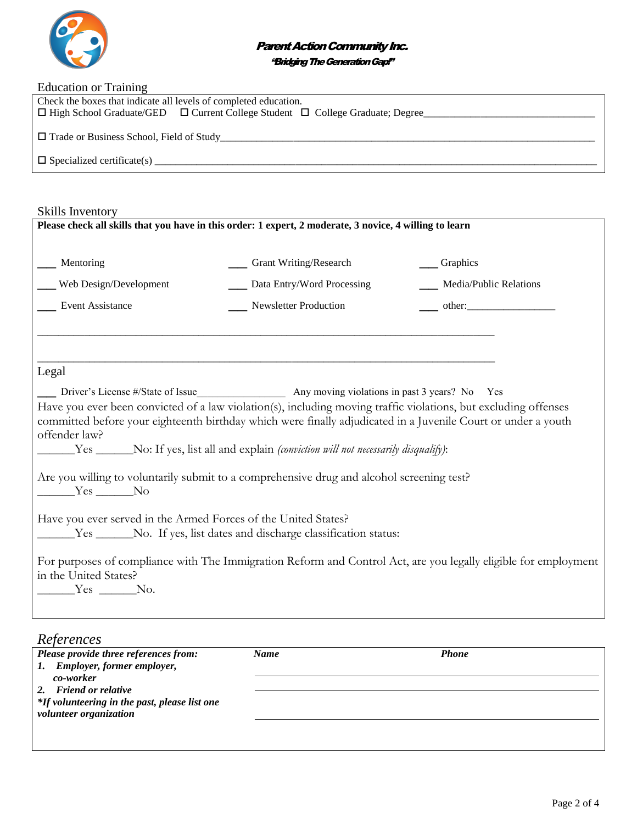

#### **Parent Action Community Inc.**

"Bridging The Generation Gap!"

| <b>Education or Training</b>                                                                   |  |  |  |  |
|------------------------------------------------------------------------------------------------|--|--|--|--|
| Check the boxes that indicate all levels of completed education.                               |  |  |  |  |
| $\Box$ High School Graduate/GED $\Box$ Current College Student $\Box$ College Graduate; Degree |  |  |  |  |
|                                                                                                |  |  |  |  |
| $\Box$ Trade or Business School, Field of Study                                                |  |  |  |  |
|                                                                                                |  |  |  |  |
| $\Box$ Specialized certificate(s)                                                              |  |  |  |  |
|                                                                                                |  |  |  |  |

Skills Inventory

| <b>DAILD III</b> VUITOI Y<br>Please check all skills that you have in this order: 1 expert, 2 moderate, 3 novice, 4 willing to learn                                                                                                                                                                                            |                            |                                                                                                                 |  |  |  |  |
|---------------------------------------------------------------------------------------------------------------------------------------------------------------------------------------------------------------------------------------------------------------------------------------------------------------------------------|----------------------------|-----------------------------------------------------------------------------------------------------------------|--|--|--|--|
| __ Mentoring                                                                                                                                                                                                                                                                                                                    | __ Grant Writing/Research  | $\_\_$ Graphics                                                                                                 |  |  |  |  |
| Web Design/Development                                                                                                                                                                                                                                                                                                          | Data Entry/Word Processing | ___ Media/Public Relations                                                                                      |  |  |  |  |
| Event Assistance                                                                                                                                                                                                                                                                                                                | Newsletter Production      |                                                                                                                 |  |  |  |  |
| Legal<br>Driver's License #/State of Issue<br>Any moving violations in past 3 years? No Yes<br>Have you ever been convicted of a law violation(s), including moving traffic violations, but excluding offenses<br>committed before your eighteenth birthday which were finally adjudicated in a Juvenile Court or under a youth |                            |                                                                                                                 |  |  |  |  |
| offender law?<br>______Yes ______No: If yes, list all and explain (conviction will not necessarily disqualify):                                                                                                                                                                                                                 |                            |                                                                                                                 |  |  |  |  |
| Are you willing to voluntarily submit to a comprehensive drug and alcohol screening test?<br>$Yes$ No                                                                                                                                                                                                                           |                            |                                                                                                                 |  |  |  |  |
| Have you ever served in the Armed Forces of the United States?<br>_______Yes ________No. If yes, list dates and discharge classification status:                                                                                                                                                                                |                            |                                                                                                                 |  |  |  |  |
| in the United States?<br>$Yes$ No.                                                                                                                                                                                                                                                                                              |                            | For purposes of compliance with The Immigration Reform and Control Act, are you legally eligible for employment |  |  |  |  |
|                                                                                                                                                                                                                                                                                                                                 |                            |                                                                                                                 |  |  |  |  |

| References                                    |             |              |  |
|-----------------------------------------------|-------------|--------------|--|
| Please provide three references from:         | <b>Name</b> | <b>Phone</b> |  |
| 1. Employer, former employer,                 |             |              |  |
| co-worker                                     |             |              |  |
| 2. Friend or relative                         |             |              |  |
| *If volunteering in the past, please list one |             |              |  |
| volunteer organization                        |             |              |  |
|                                               |             |              |  |
|                                               |             |              |  |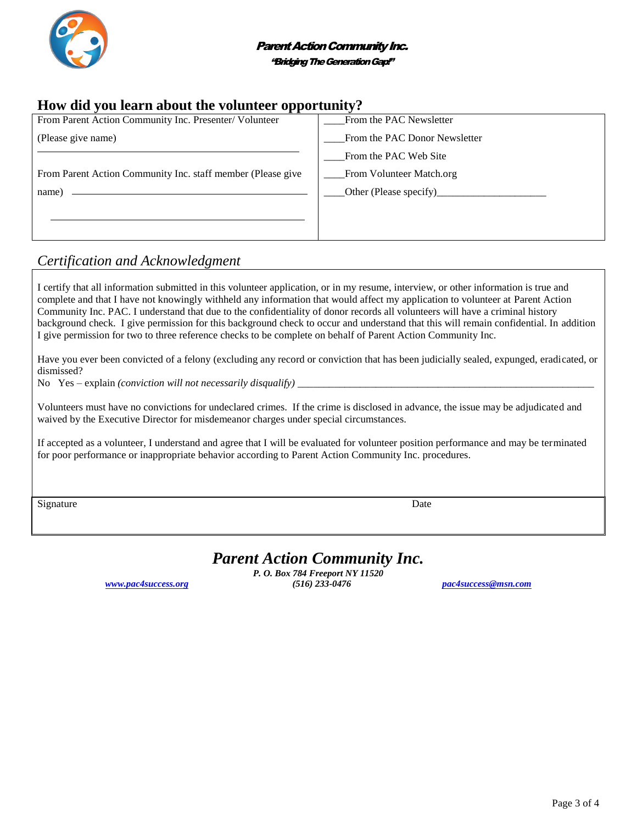

## **How did you learn about the volunteer opportunity?**

| From Parent Action Community Inc. Presenter/ Volunteer      | From the PAC Newsletter       |
|-------------------------------------------------------------|-------------------------------|
| (Please give name)                                          | From the PAC Donor Newsletter |
|                                                             | From the PAC Web Site         |
| From Parent Action Community Inc. staff member (Please give | From Volunteer Match.org      |
| name)                                                       |                               |
|                                                             |                               |
|                                                             |                               |

# *Certification and Acknowledgment*

I certify that all information submitted in this volunteer application, or in my resume, interview, or other information is true and complete and that I have not knowingly withheld any information that would affect my application to volunteer at Parent Action Community Inc. PAC. I understand that due to the confidentiality of donor records all volunteers will have a criminal history background check. I give permission for this background check to occur and understand that this will remain confidential. In addition I give permission for two to three reference checks to be complete on behalf of Parent Action Community Inc.

Have you ever been convicted of a felony (excluding any record or conviction that has been judicially sealed, expunged, eradicated, or dismissed?

No Yes – explain *(conviction will not necessarily disqualify)* 

Volunteers must have no convictions for undeclared crimes. If the crime is disclosed in advance, the issue may be adjudicated and waived by the Executive Director for misdemeanor charges under special circumstances.

If accepted as a volunteer, I understand and agree that I will be evaluated for volunteer position performance and may be terminated for poor performance or inappropriate behavior according to Parent Action Community Inc. procedures.

Signature Date Date of the Date of the United States of the Date of the Date of the Date of the Date of the United States of the United States of the United States of the United States of the United States of the United St

# *Parent Action Community Inc.*

*P. O. Box 784 Freeport NY 11520 [www.pac4success.org](http://www.pac4success.org/) (516) 233-0476 [pac4success@msn.com](mailto:pac4success@msn.com)*